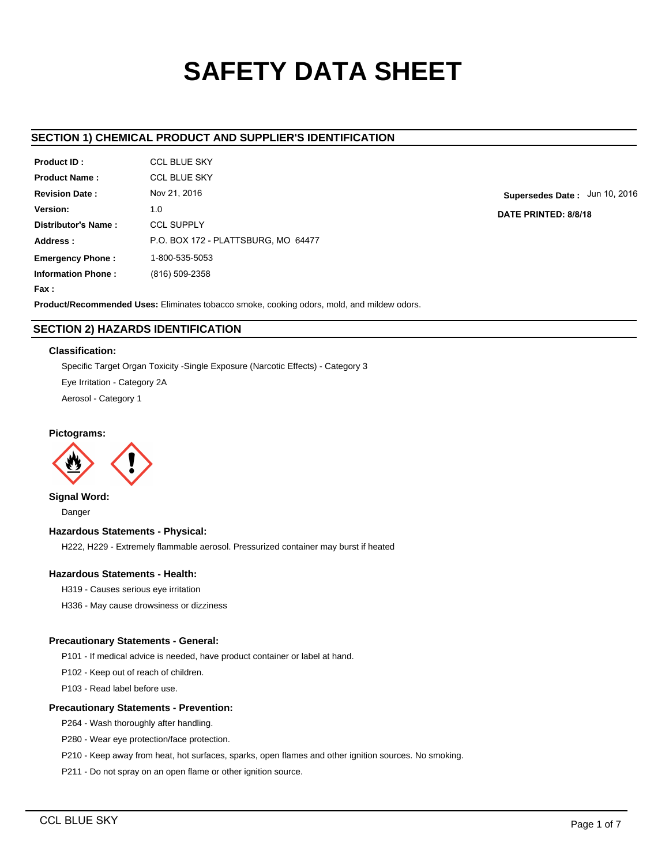# **SAFETY DATA SHEET**

# **SECTION 1) CHEMICAL PRODUCT AND SUPPLIER'S IDENTIFICATION**

| Product ID:               | CCL BLUE SKY                        |
|---------------------------|-------------------------------------|
| <b>Product Name:</b>      | <b>CCL BLUE SKY</b>                 |
| <b>Revision Date:</b>     | Nov 21, 2016                        |
| Version:                  | 1.0                                 |
| Distributor's Name:       | <b>CCL SUPPLY</b>                   |
| Address:                  | P.O. BOX 172 - PLATTSBURG, MO 64477 |
| <b>Emergency Phone:</b>   | 1-800-535-5053                      |
| <b>Information Phone:</b> | (816) 509-2358                      |
| <b>Fax :</b>              |                                     |

**Supersedes Date :** Jun 10, 2016 **DATE PRINTED: 8/8/18**

**Product/Recommended Uses:** Eliminates tobacco smoke, cooking odors, mold, and mildew odors.

# **SECTION 2) HAZARDS IDENTIFICATION**

## **Classification:**

Specific Target Organ Toxicity -Single Exposure (Narcotic Effects) - Category 3 Eye Irritation - Category 2A Aerosol - Category 1

# **Pictograms:**



**Signal Word:** Danger

# **Hazardous Statements - Physical:**

H222, H229 - Extremely flammable aerosol. Pressurized container may burst if heated

# **Hazardous Statements - Health:**

- H319 Causes serious eye irritation
- H336 May cause drowsiness or dizziness

# **Precautionary Statements - General:**

P101 - If medical advice is needed, have product container or label at hand.

P102 - Keep out of reach of children.

P103 - Read label before use.

## **Precautionary Statements - Prevention:**

P264 - Wash thoroughly after handling.

P280 - Wear eye protection/face protection.

P210 - Keep away from heat, hot surfaces, sparks, open flames and other ignition sources. No smoking.

P211 - Do not spray on an open flame or other ignition source.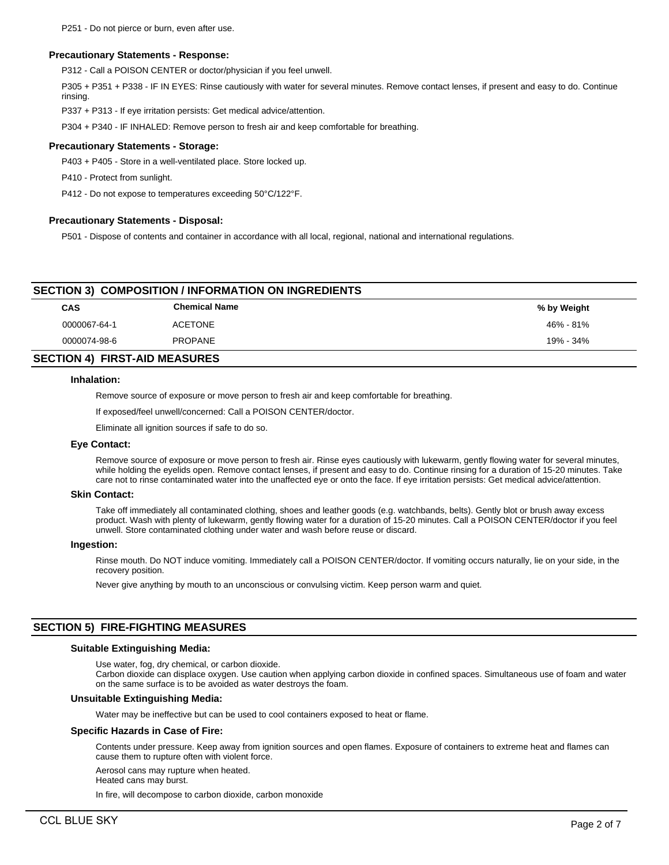#### **Precautionary Statements - Response:**

P312 - Call a POISON CENTER or doctor/physician if you feel unwell.

P305 + P351 + P338 - IF IN EYES: Rinse cautiously with water for several minutes. Remove contact lenses, if present and easy to do. Continue rinsing.

P337 + P313 - If eye irritation persists: Get medical advice/attention.

P304 + P340 - IF INHALED: Remove person to fresh air and keep comfortable for breathing.

#### **Precautionary Statements - Storage:**

P403 + P405 - Store in a well-ventilated place. Store locked up.

P410 - Protect from sunlight.

P412 - Do not expose to temperatures exceeding 50°C/122°F.

#### **Precautionary Statements - Disposal:**

P501 - Dispose of contents and container in accordance with all local, regional, national and international regulations.

# **SECTION 3) COMPOSITION / INFORMATION ON INGREDIENTS**

| CAS          | <b>Chemical Name</b> | % by Weight |
|--------------|----------------------|-------------|
| 0000067-64-1 | <b>ACETONE</b>       | 46% - 81%   |
| 0000074-98-6 | <b>PROPANE</b>       | 19% - 34%   |
|              |                      |             |

# **SECTION 4) FIRST-AID MEASURES**

#### **Inhalation:**

Remove source of exposure or move person to fresh air and keep comfortable for breathing.

If exposed/feel unwell/concerned: Call a POISON CENTER/doctor.

Eliminate all ignition sources if safe to do so.

#### **Eye Contact:**

Remove source of exposure or move person to fresh air. Rinse eyes cautiously with lukewarm, gently flowing water for several minutes, while holding the eyelids open. Remove contact lenses, if present and easy to do. Continue rinsing for a duration of 15-20 minutes. Take care not to rinse contaminated water into the unaffected eye or onto the face. If eye irritation persists: Get medical advice/attention.

#### **Skin Contact:**

Take off immediately all contaminated clothing, shoes and leather goods (e.g. watchbands, belts). Gently blot or brush away excess product. Wash with plenty of lukewarm, gently flowing water for a duration of 15-20 minutes. Call a POISON CENTER/doctor if you feel unwell. Store contaminated clothing under water and wash before reuse or discard.

#### **Ingestion:**

Rinse mouth. Do NOT induce vomiting. Immediately call a POISON CENTER/doctor. If vomiting occurs naturally, lie on your side, in the recovery position.

Never give anything by mouth to an unconscious or convulsing victim. Keep person warm and quiet.

## **SECTION 5) FIRE-FIGHTING MEASURES**

#### **Suitable Extinguishing Media:**

Use water, fog, dry chemical, or carbon dioxide.

Carbon dioxide can displace oxygen. Use caution when applying carbon dioxide in confined spaces. Simultaneous use of foam and water on the same surface is to be avoided as water destroys the foam.

## **Unsuitable Extinguishing Media:**

Water may be ineffective but can be used to cool containers exposed to heat or flame.

#### **Specific Hazards in Case of Fire:**

Contents under pressure. Keep away from ignition sources and open flames. Exposure of containers to extreme heat and flames can cause them to rupture often with violent force.

Aerosol cans may rupture when heated.

Heated cans may burst.

In fire, will decompose to carbon dioxide, carbon monoxide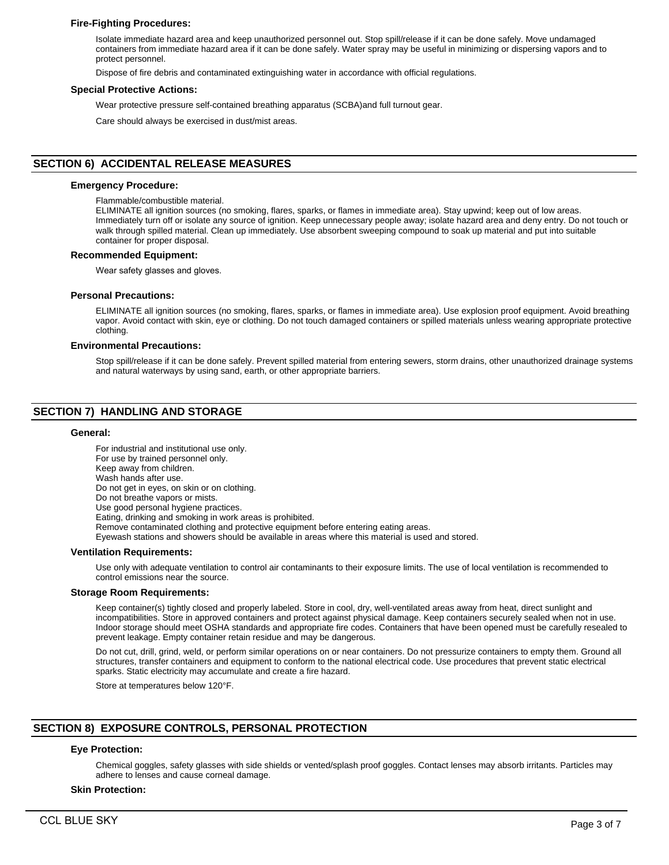## **Fire-Fighting Procedures:**

Isolate immediate hazard area and keep unauthorized personnel out. Stop spill/release if it can be done safely. Move undamaged containers from immediate hazard area if it can be done safely. Water spray may be useful in minimizing or dispersing vapors and to protect personnel.

Dispose of fire debris and contaminated extinguishing water in accordance with official regulations.

#### **Special Protective Actions:**

Wear protective pressure self-contained breathing apparatus (SCBA)and full turnout gear.

Care should always be exercised in dust/mist areas.

# **SECTION 6) ACCIDENTAL RELEASE MEASURES**

#### **Emergency Procedure:**

Flammable/combustible material.

ELIMINATE all ignition sources (no smoking, flares, sparks, or flames in immediate area). Stay upwind; keep out of low areas. Immediately turn off or isolate any source of ignition. Keep unnecessary people away; isolate hazard area and deny entry. Do not touch or walk through spilled material. Clean up immediately. Use absorbent sweeping compound to soak up material and put into suitable container for proper disposal.

#### **Recommended Equipment:**

Wear safety glasses and gloves.

#### **Personal Precautions:**

ELIMINATE all ignition sources (no smoking, flares, sparks, or flames in immediate area). Use explosion proof equipment. Avoid breathing vapor. Avoid contact with skin, eye or clothing. Do not touch damaged containers or spilled materials unless wearing appropriate protective clothing.

#### **Environmental Precautions:**

Stop spill/release if it can be done safely. Prevent spilled material from entering sewers, storm drains, other unauthorized drainage systems and natural waterways by using sand, earth, or other appropriate barriers.

# **SECTION 7) HANDLING AND STORAGE**

#### **General:**

For industrial and institutional use only. For use by trained personnel only. Keep away from children. Wash hands after use. Do not get in eyes, on skin or on clothing. Do not breathe vapors or mists. Use good personal hygiene practices. Eating, drinking and smoking in work areas is prohibited. Remove contaminated clothing and protective equipment before entering eating areas. Eyewash stations and showers should be available in areas where this material is used and stored. **Ventilation Requirements:**

Use only with adequate ventilation to control air contaminants to their exposure limits. The use of local ventilation is recommended to control emissions near the source.

#### **Storage Room Requirements:**

Keep container(s) tightly closed and properly labeled. Store in cool, dry, well-ventilated areas away from heat, direct sunlight and incompatibilities. Store in approved containers and protect against physical damage. Keep containers securely sealed when not in use. Indoor storage should meet OSHA standards and appropriate fire codes. Containers that have been opened must be carefully resealed to prevent leakage. Empty container retain residue and may be dangerous.

Do not cut, drill, grind, weld, or perform similar operations on or near containers. Do not pressurize containers to empty them. Ground all structures, transfer containers and equipment to conform to the national electrical code. Use procedures that prevent static electrical sparks. Static electricity may accumulate and create a fire hazard.

Store at temperatures below 120°F.

# **SECTION 8) EXPOSURE CONTROLS, PERSONAL PROTECTION**

# **Eye Protection:**

Chemical goggles, safety glasses with side shields or vented/splash proof goggles. Contact lenses may absorb irritants. Particles may adhere to lenses and cause corneal damage.

#### **Skin Protection:**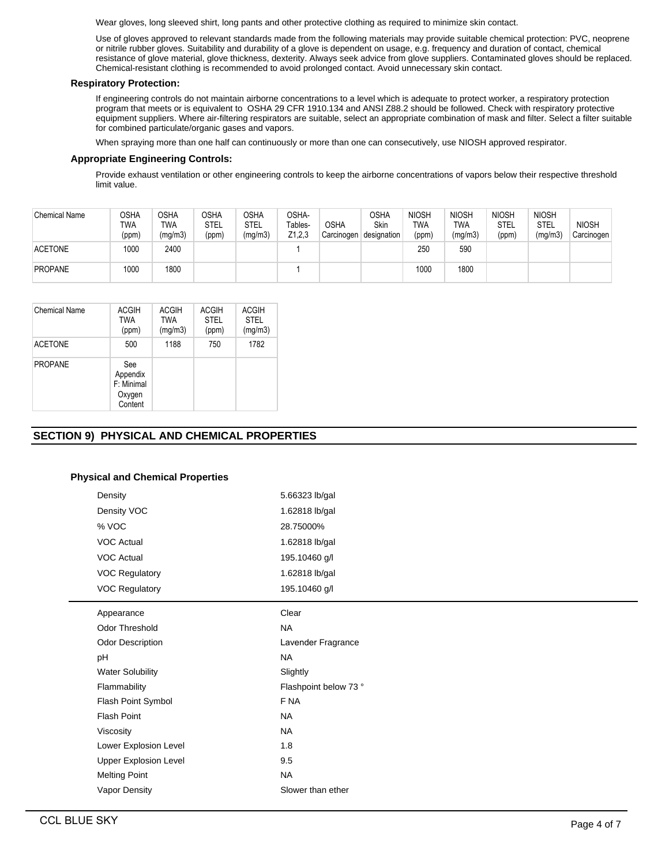Wear gloves, long sleeved shirt, long pants and other protective clothing as required to minimize skin contact.

Use of gloves approved to relevant standards made from the following materials may provide suitable chemical protection: PVC, neoprene or nitrile rubber gloves. Suitability and durability of a glove is dependent on usage, e.g. frequency and duration of contact, chemical resistance of glove material, glove thickness, dexterity. Always seek advice from glove suppliers. Contaminated gloves should be replaced. Chemical-resistant clothing is recommended to avoid prolonged contact. Avoid unnecessary skin contact.

# **Respiratory Protection:**

If engineering controls do not maintain airborne concentrations to a level which is adequate to protect worker, a respiratory protection program that meets or is equivalent to OSHA 29 CFR 1910.134 and ANSI Z88.2 should be followed. Check with respiratory protective equipment suppliers. Where air-filtering respirators are suitable, select an appropriate combination of mask and filter. Select a filter suitable for combined particulate/organic gases and vapors.

When spraying more than one half can continuously or more than one can consecutively, use NIOSH approved respirator.

## **Appropriate Engineering Controls:**

Provide exhaust ventilation or other engineering controls to keep the airborne concentrations of vapors below their respective threshold limit value.

| <b>Chemical Name</b> | OSHA<br>TWA<br>(ppm) | OSHA<br>TWA<br>(mg/m3) | <b>OSHA</b><br><b>STEL</b><br>(ppm) | OSHA<br>STEL<br>(mg/m3) | OSHA-<br>Tables-<br>Z1,2,3 | <b>OSHA</b><br>Carcinogen | OSHA<br>Skin<br>designation | <b>NIOSH</b><br>TWA<br>(ppm) | <b>NIOSH</b><br>TWA<br>(mg/m3) | <b>NIOSH</b><br>STEL<br>(ppm) | <b>NIOSH</b><br><b>STEL</b><br>(mg/m3) | <b>NIOSH</b><br>Carcinogen |
|----------------------|----------------------|------------------------|-------------------------------------|-------------------------|----------------------------|---------------------------|-----------------------------|------------------------------|--------------------------------|-------------------------------|----------------------------------------|----------------------------|
| <b>ACETONE</b>       | 1000                 | 2400                   |                                     |                         |                            |                           |                             | 250                          | 590                            |                               |                                        |                            |
| <b>PROPANE</b>       | 1000                 | 1800                   |                                     |                         |                            |                           |                             | 1000                         | 1800                           |                               |                                        |                            |

| Chemical Name  | ACGIH<br>TWA<br>(ppm)                              | <b>ACGIH</b><br><b>TWA</b><br>(mg/m3) | <b>ACGIH</b><br><b>STEL</b><br>(ppm) | <b>ACGIH</b><br><b>STEL</b><br>(mg/m3) |
|----------------|----------------------------------------------------|---------------------------------------|--------------------------------------|----------------------------------------|
| <b>ACETONE</b> | 500                                                | 1188                                  | 750                                  | 1782                                   |
| <b>PROPANE</b> | See<br>Appendix<br>F: Minimal<br>Oxygen<br>Content |                                       |                                      |                                        |

# **SECTION 9) PHYSICAL AND CHEMICAL PROPERTIES**

# **Physical and Chemical Properties**

| Density                      | 5.66323 lb/gal        |
|------------------------------|-----------------------|
| Density VOC                  | 1.62818 lb/gal        |
| % VOC                        | 28.75000%             |
| <b>VOC Actual</b>            | 1.62818 lb/gal        |
| <b>VOC Actual</b>            | 195.10460 g/l         |
| <b>VOC Regulatory</b>        | 1.62818 lb/gal        |
| <b>VOC Regulatory</b>        | 195.10460 g/l         |
| Appearance                   | Clear                 |
| <b>Odor Threshold</b>        | <b>NA</b>             |
| Odor Description             | Lavender Fragrance    |
| pH                           | <b>NA</b>             |
| <b>Water Solubility</b>      | Slightly              |
| Flammability                 | Flashpoint below 73 ° |
| Flash Point Symbol           | F NA                  |
| <b>Flash Point</b>           | <b>NA</b>             |
| Viscosity                    | <b>NA</b>             |
| Lower Explosion Level        | 1.8                   |
| <b>Upper Explosion Level</b> | 9.5                   |
| <b>Melting Point</b>         | <b>NA</b>             |
| Vapor Density                | Slower than ether     |
|                              |                       |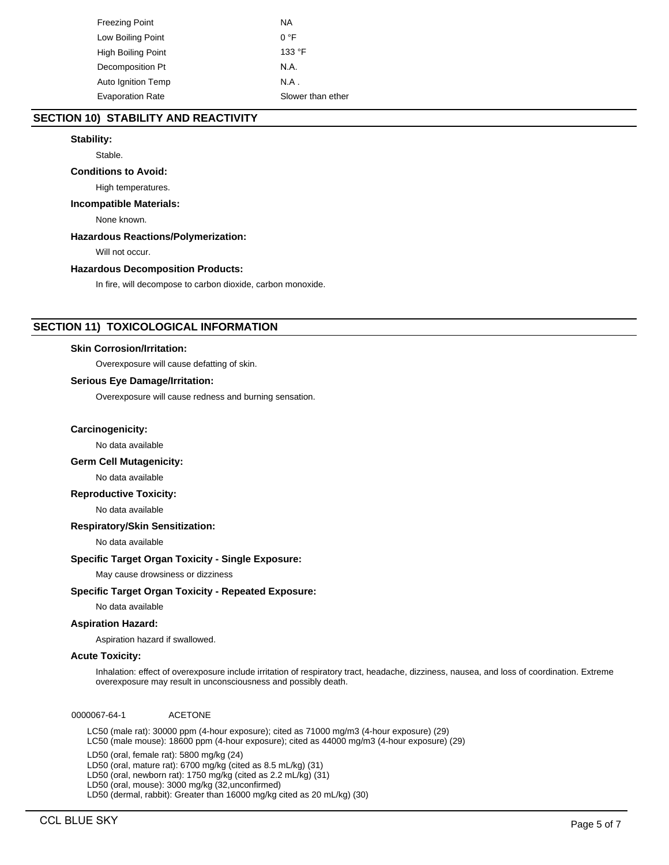| Freezing Point     | ΝA                |
|--------------------|-------------------|
| Low Boiling Point  | $0^{\circ}$ F     |
| High Boiling Point | 133 °F            |
| Decomposition Pt   | N.A.              |
| Auto Ignition Temp | $NA$ .            |
| Evaporation Rate   | Slower than ether |

# **SECTION 10) STABILITY AND REACTIVITY**

## **Stability:**

Stable.

#### **Conditions to Avoid:**

High temperatures.

## **Incompatible Materials:**

None known.

#### **Hazardous Reactions/Polymerization:**

Will not occur.

## **Hazardous Decomposition Products:**

In fire, will decompose to carbon dioxide, carbon monoxide.

# **SECTION 11) TOXICOLOGICAL INFORMATION**

#### **Skin Corrosion/Irritation:**

Overexposure will cause defatting of skin.

## **Serious Eye Damage/Irritation:**

Overexposure will cause redness and burning sensation.

#### **Carcinogenicity:**

No data available

## **Germ Cell Mutagenicity:**

No data available

## **Reproductive Toxicity:**

No data available

#### **Respiratory/Skin Sensitization:**

No data available

## **Specific Target Organ Toxicity - Single Exposure:**

May cause drowsiness or dizziness

## **Specific Target Organ Toxicity - Repeated Exposure:**

No data available

## **Aspiration Hazard:**

Aspiration hazard if swallowed.

#### **Acute Toxicity:**

Inhalation: effect of overexposure include irritation of respiratory tract, headache, dizziness, nausea, and loss of coordination. Extreme overexposure may result in unconsciousness and possibly death.

0000067-64-1 ACETONE

LC50 (male rat): 30000 ppm (4-hour exposure); cited as 71000 mg/m3 (4-hour exposure) (29) LC50 (male mouse): 18600 ppm (4-hour exposure); cited as 44000 mg/m3 (4-hour exposure) (29)

LD50 (oral, female rat): 5800 mg/kg (24)

LD50 (oral, mature rat): 6700 mg/kg (cited as 8.5 mL/kg) (31)

LD50 (oral, newborn rat): 1750 mg/kg (cited as 2.2 mL/kg) (31)

LD50 (oral, mouse): 3000 mg/kg (32,unconfirmed)

LD50 (dermal, rabbit): Greater than 16000 mg/kg cited as 20 mL/kg) (30)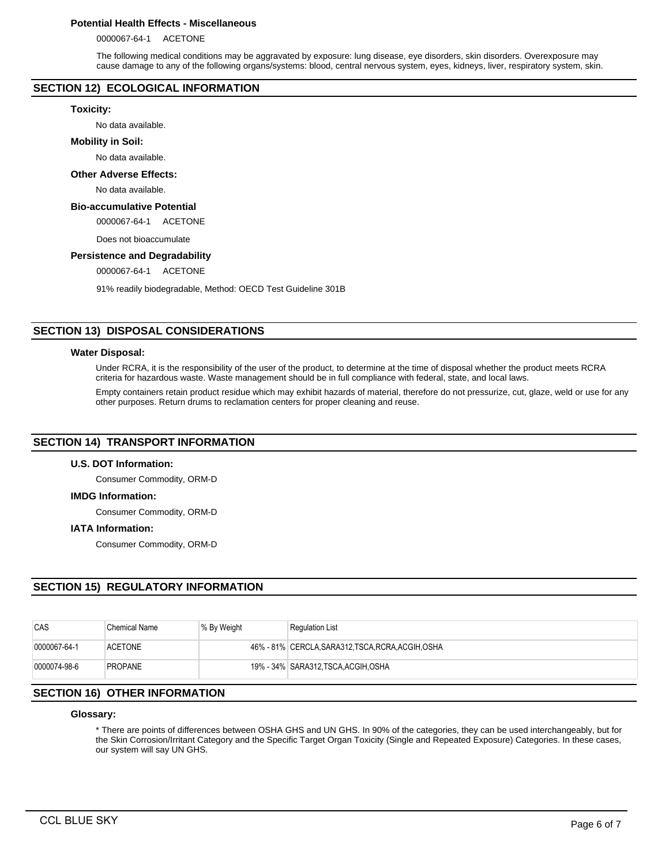## **Potential Health Effects - Miscellaneous**

0000067-64-1 ACETONE

The following medical conditions may be aggravated by exposure: lung disease, eye disorders, skin disorders. Overexposure may cause damage to any of the following organs/systems: blood, central nervous system, eyes, kidneys, liver, respiratory system, skin.

# **SECTION 12) ECOLOGICAL INFORMATION**

#### **Toxicity:**

No data available.

#### **Mobility in Soil:**

No data available.

## **Other Adverse Effects:**

No data available.

## **Bio-accumulative Potential**

0000067-64-1 ACETONE

Does not bioaccumulate

## **Persistence and Degradability**

0000067-64-1 ACETONE

91% readily biodegradable, Method: OECD Test Guideline 301B

# **SECTION 13) DISPOSAL CONSIDERATIONS**

#### **Water Disposal:**

Under RCRA, it is the responsibility of the user of the product, to determine at the time of disposal whether the product meets RCRA criteria for hazardous waste. Waste management should be in full compliance with federal, state, and local laws.

Empty containers retain product residue which may exhibit hazards of material, therefore do not pressurize, cut, glaze, weld or use for any other purposes. Return drums to reclamation centers for proper cleaning and reuse.

# **SECTION 14) TRANSPORT INFORMATION**

## **U.S. DOT Information:**

Consumer Commodity, ORM-D

## **IMDG Information:**

Consumer Commodity, ORM-D

## **IATA Information:**

Consumer Commodity, ORM-D

# **SECTION 15) REGULATORY INFORMATION**

| CAS          | Chemical Name  | % By Weight | <b>Regulation List</b>                             |
|--------------|----------------|-------------|----------------------------------------------------|
| 0000067-64-1 | <b>ACETONE</b> |             | 46% - 81% CERCLA, SARA312, TSCA, RCRA, ACGIH, OSHA |
| 0000074-98-6 | <b>PROPANE</b> |             | 19% - 34% SARA312, TSCA, ACGIH, OSHA               |

## **SECTION 16) OTHER INFORMATION**

#### **Glossary:**

\* There are points of differences between OSHA GHS and UN GHS. In 90% of the categories, they can be used interchangeably, but for the Skin Corrosion/Irritant Category and the Specific Target Organ Toxicity (Single and Repeated Exposure) Categories. In these cases, our system will say UN GHS.